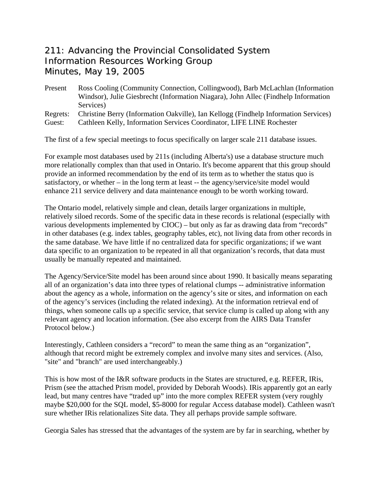## 211: Advancing the Provincial Consolidated System Information Resources Working Group Minutes, May 19, 2005

Present Ross Cooling (Community Connection, Collingwood), Barb McLachlan (Information Windsor), Julie Giesbrecht (Information Niagara), John Allec (Findhelp Information Services)

Regrets: Christine Berry (Information Oakville), Ian Kellogg (Findhelp Information Services)

Guest: Cathleen Kelly, Information Services Coordinator, LIFE LINE Rochester

The first of a few special meetings to focus specifically on larger scale 211 database issues.

For example most databases used by 211s (including Alberta's) use a database structure much more relationally complex than that used in Ontario. It's become apparent that this group should provide an informed recommendation by the end of its term as to whether the status quo is satisfactory, or whether – in the long term at least -- the agency/service/site model would enhance 211 service delivery and data maintenance enough to be worth working toward.

The Ontario model, relatively simple and clean, details larger organizations in multiple, relatively siloed records. Some of the specific data in these records is relational (especially with various developments implemented by CIOC) – but only as far as drawing data from "records" in other databases (e.g. index tables, geography tables, etc), not living data from other records in the same database. We have little if no centralized data for specific organizations; if we want data specific to an organization to be repeated in all that organization's records, that data must usually be manually repeated and maintained.

The Agency/Service/Site model has been around since about 1990. It basically means separating all of an organization's data into three types of relational clumps -- administrative information about the agency as a whole, information on the agency's site or sites, and information on each of the agency's services (including the related indexing). At the information retrieval end of things, when someone calls up a specific service, that service clump is called up along with any relevant agency and location information. (See also excerpt from the AIRS Data Transfer Protocol below.)

Interestingly, Cathleen considers a "record" to mean the same thing as an "organization", although that record might be extremely complex and involve many sites and services. (Also, "site" and "branch" are used interchangeably.)

This is how most of the I&R software products in the States are structured, e.g. REFER, IRis, Prism (see the attached Prism model, provided by Deborah Woods). IRis apparently got an early lead, but many centres have "traded up" into the more complex REFER system (very roughly maybe \$20,000 for the SQL model, \$5-8000 for regular Access database model). Cathleen wasn't sure whether IRis relationalizes Site data. They all perhaps provide sample software.

Georgia Sales has stressed that the advantages of the system are by far in searching, whether by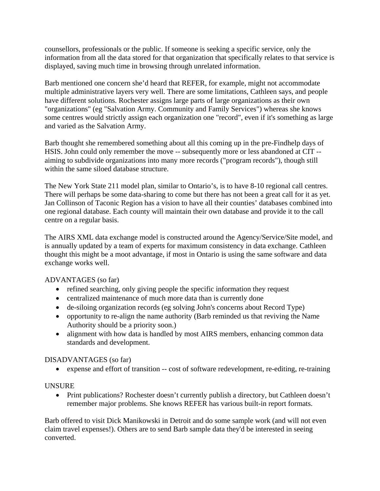counsellors, professionals or the public. If someone is seeking a specific service, only the information from all the data stored for that organization that specifically relates to that service is displayed, saving much time in browsing through unrelated information.

Barb mentioned one concern she'd heard that REFER, for example, might not accommodate multiple administrative layers very well. There are some limitations, Cathleen says, and people have different solutions. Rochester assigns large parts of large organizations as their own "organizations" (eg "Salvation Army. Community and Family Services") whereas she knows some centres would strictly assign each organization one "record", even if it's something as large and varied as the Salvation Army.

Barb thought she remembered something about all this coming up in the pre-Findhelp days of HSIS. John could only remember the move -- subsequently more or less abandoned at CIT - aiming to subdivide organizations into many more records ("program records"), though still within the same siloed database structure.

The New York State 211 model plan, similar to Ontario's, is to have 8-10 regional call centres. There will perhaps be some data-sharing to come but there has not been a great call for it as yet. Jan Collinson of Taconic Region has a vision to have all their counties' databases combined into one regional database. Each county will maintain their own database and provide it to the call centre on a regular basis.

The AIRS XML data exchange model is constructed around the Agency/Service/Site model, and is annually updated by a team of experts for maximum consistency in data exchange. Cathleen thought this might be a moot advantage, if most in Ontario is using the same software and data exchange works well.

ADVANTAGES (so far)

- refined searching, only giving people the specific information they request
- centralized maintenance of much more data than is currently done
- de-siloing organization records (eg solving John's concerns about Record Type)
- opportunity to re-align the name authority (Barb reminded us that reviving the Name Authority should be a priority soon.)
- alignment with how data is handled by most AIRS members, enhancing common data standards and development.

## DISADVANTAGES (so far)

• expense and effort of transition -- cost of software redevelopment, re-editing, re-training

## UNSURE

• Print publications? Rochester doesn't currently publish a directory, but Cathleen doesn't remember major problems. She knows REFER has various built-in report formats.

Barb offered to visit Dick Manikowski in Detroit and do some sample work (and will not even claim travel expenses!). Others are to send Barb sample data they'd be interested in seeing converted.